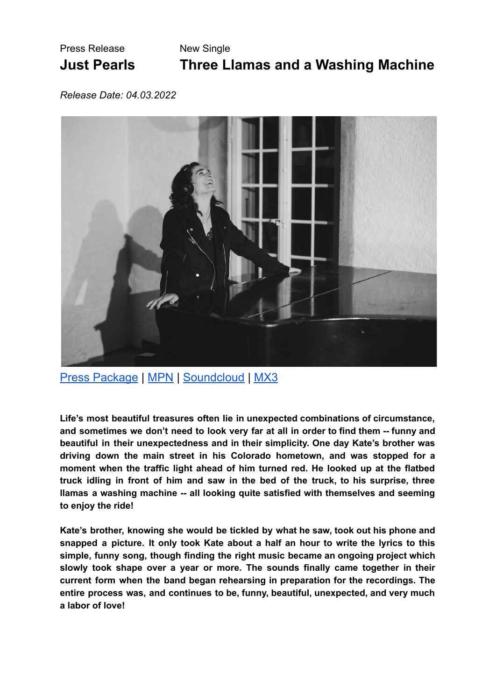## Press Release New Single

## **Just Pearls Three Llamas and a Washing Machine**

*Release Date: 04.03.2022*



Press [Package](https://drive.google.com/drive/folders/1GVus7YpkmeflcoyYDCwTlQgalgVts5YK?usp=sharing) | [MPN](https://www.music-promotion.ch/de/ProductDetail?pid=16563067) | [Soundcloud](https://soundcloud.com/user-600274734/three-lamas-and-a-washing-machine-master-1wav-24bit-441khz/s-xfE1I21p8NF?utm_source=clipboard&utm_medium=text&utm_campaign=social_sharing) | [MX3](https://mx3.ch/t/1EZp)

**Life's most beautiful treasures often lie in unexpected combinations of circumstance, and sometimes we don't need to look very far at all in order to find them -- funny and beautiful in their unexpectedness and in their simplicity. One day Kate's brother was driving down the main street in his Colorado hometown, and was stopped for a moment when the traffic light ahead of him turned red. He looked up at the flatbed truck idling in front of him and saw in the bed of the truck, to his surprise, three llamas a washing machine -- all looking quite satisfied with themselves and seeming to enjoy the ride!**

**Kate's brother, knowing she would be tickled by what he saw, took out his phone and snapped a picture. It only took Kate about a half an hour to write the lyrics to this simple, funny song, though finding the right music became an ongoing project which slowly took shape over a year or more. The sounds finally came together in their current form when the band began rehearsing in preparation for the recordings. The entire process was, and continues to be, funny, beautiful, unexpected, and very much a labor of love!**